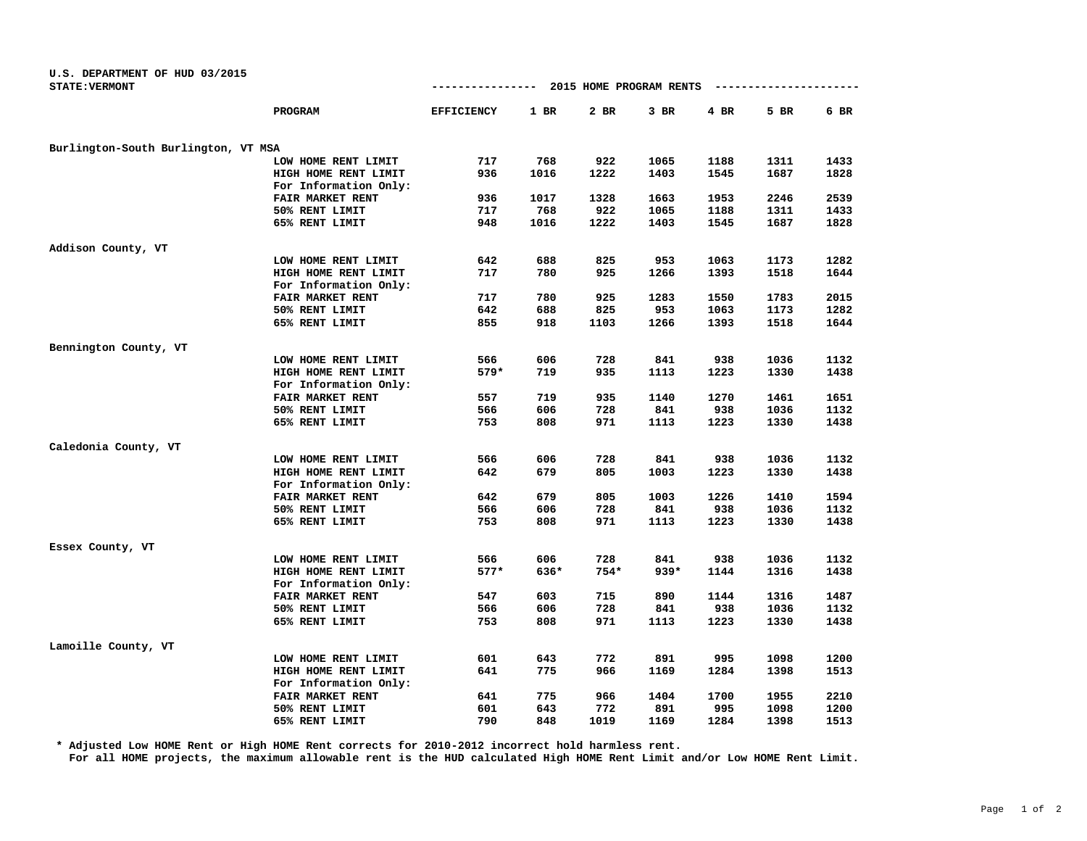| U.S. DEPARTMENT OF HUD 03/2015<br><b>STATE: VERMONT</b> |                         | ----------------  |        | 2015 HOME PROGRAM RENTS |        |        | ----------- |      |
|---------------------------------------------------------|-------------------------|-------------------|--------|-------------------------|--------|--------|-------------|------|
|                                                         |                         |                   |        |                         |        |        |             |      |
|                                                         | PROGRAM                 | <b>EFFICIENCY</b> | $1$ BR | 2 BR                    | $3$ BR | $4$ BR | 5 BR        | 6 BR |
| Burlington-South Burlington, VT MSA                     |                         |                   |        |                         |        |        |             |      |
|                                                         | LOW HOME RENT LIMIT     | 717               | 768    | 922                     | 1065   | 1188   | 1311        | 1433 |
|                                                         | HIGH HOME RENT LIMIT    | 936               | 1016   | 1222                    | 1403   | 1545   | 1687        | 1828 |
|                                                         | For Information Only:   |                   |        |                         |        |        |             |      |
|                                                         | FAIR MARKET RENT        | 936               | 1017   | 1328                    | 1663   | 1953   | 2246        | 2539 |
|                                                         | 50% RENT LIMIT          | 717               | 768    | 922                     | 1065   | 1188   | 1311        | 1433 |
|                                                         | 65% RENT LIMIT          | 948               | 1016   | 1222                    | 1403   | 1545   | 1687        | 1828 |
| Addison County, VT                                      |                         |                   |        |                         |        |        |             |      |
|                                                         | LOW HOME RENT LIMIT     | 642               | 688    | 825                     | 953    | 1063   | 1173        | 1282 |
|                                                         | HIGH HOME RENT LIMIT    | 717               | 780    | 925                     | 1266   | 1393   | 1518        | 1644 |
|                                                         | For Information Only:   |                   |        |                         |        |        |             |      |
|                                                         | FAIR MARKET RENT        | 717               | 780    | 925                     | 1283   | 1550   | 1783        | 2015 |
|                                                         | 50% RENT LIMIT          | 642               | 688    | 825                     | 953    | 1063   | 1173        | 1282 |
|                                                         | 65% RENT LIMIT          | 855               | 918    | 1103                    | 1266   | 1393   | 1518        | 1644 |
| Bennington County, VT                                   |                         |                   |        |                         |        |        |             |      |
|                                                         | LOW HOME RENT LIMIT     | 566               | 606    | 728                     | 841    | 938    | 1036        | 1132 |
|                                                         | HIGH HOME RENT LIMIT    | $579*$            | 719    | 935                     | 1113   | 1223   | 1330        | 1438 |
|                                                         | For Information Only:   |                   |        |                         |        |        |             |      |
|                                                         | FAIR MARKET RENT        | 557               | 719    | 935                     | 1140   | 1270   | 1461        | 1651 |
|                                                         | 50% RENT LIMIT          | 566               | 606    | 728                     | 841    | 938    | 1036        | 1132 |
|                                                         | 65% RENT LIMIT          | 753               | 808    | 971                     | 1113   | 1223   | 1330        | 1438 |
| Caledonia County, VT                                    |                         |                   |        |                         |        |        |             |      |
|                                                         | LOW HOME RENT LIMIT     | 566               | 606    | 728                     | 841    | 938    | 1036        | 1132 |
|                                                         | HIGH HOME RENT LIMIT    | 642               | 679    | 805                     | 1003   | 1223   | 1330        | 1438 |
|                                                         | For Information Only:   |                   |        |                         |        |        |             |      |
|                                                         | FAIR MARKET RENT        | 642               | 679    | 805                     | 1003   | 1226   | 1410        | 1594 |
|                                                         | 50% RENT LIMIT          | 566               | 606    | 728                     | 841    | 938    | 1036        | 1132 |
|                                                         | 65% RENT LIMIT          | 753               | 808    | 971                     | 1113   | 1223   | 1330        | 1438 |
| Essex County, VT                                        |                         |                   |        |                         |        |        |             |      |
|                                                         | LOW HOME RENT LIMIT     | 566               | 606    | 728                     | 841    | 938    | 1036        | 1132 |
|                                                         | HIGH HOME RENT LIMIT    | $577*$            | 636*   | 754*                    | $939*$ | 1144   | 1316        | 1438 |
|                                                         | For Information Only:   |                   |        |                         |        |        |             |      |
|                                                         | <b>FAIR MARKET RENT</b> | 547               | 603    | 715                     | 890    | 1144   | 1316        | 1487 |
|                                                         | 50% RENT LIMIT          | 566               | 606    | 728                     | 841    | 938    | 1036        | 1132 |
|                                                         | 65% RENT LIMIT          | 753               | 808    | 971                     | 1113   | 1223   | 1330        | 1438 |
| Lamoille County, VT                                     |                         |                   |        |                         |        |        |             |      |
|                                                         | LOW HOME RENT LIMIT     | 601               | 643    | 772                     | 891    | 995    | 1098        | 1200 |
|                                                         | HIGH HOME RENT LIMIT    | 641               | 775    | 966                     | 1169   | 1284   | 1398        | 1513 |
|                                                         | For Information Only:   |                   |        |                         |        |        |             |      |
|                                                         | FAIR MARKET RENT        | 641               | 775    | 966                     | 1404   | 1700   | 1955        | 2210 |
|                                                         | 50% RENT LIMIT          | 601               | 643    | 772                     | 891    | 995    | 1098        | 1200 |
|                                                         | 65% RENT LIMIT          | 790               | 848    | 1019                    | 1169   | 1284   | 1398        | 1513 |
|                                                         |                         |                   |        |                         |        |        |             |      |

**\* Adjusted Low HOME Rent or High HOME Rent corrects for 2010-2012 incorrect hold harmless rent.**